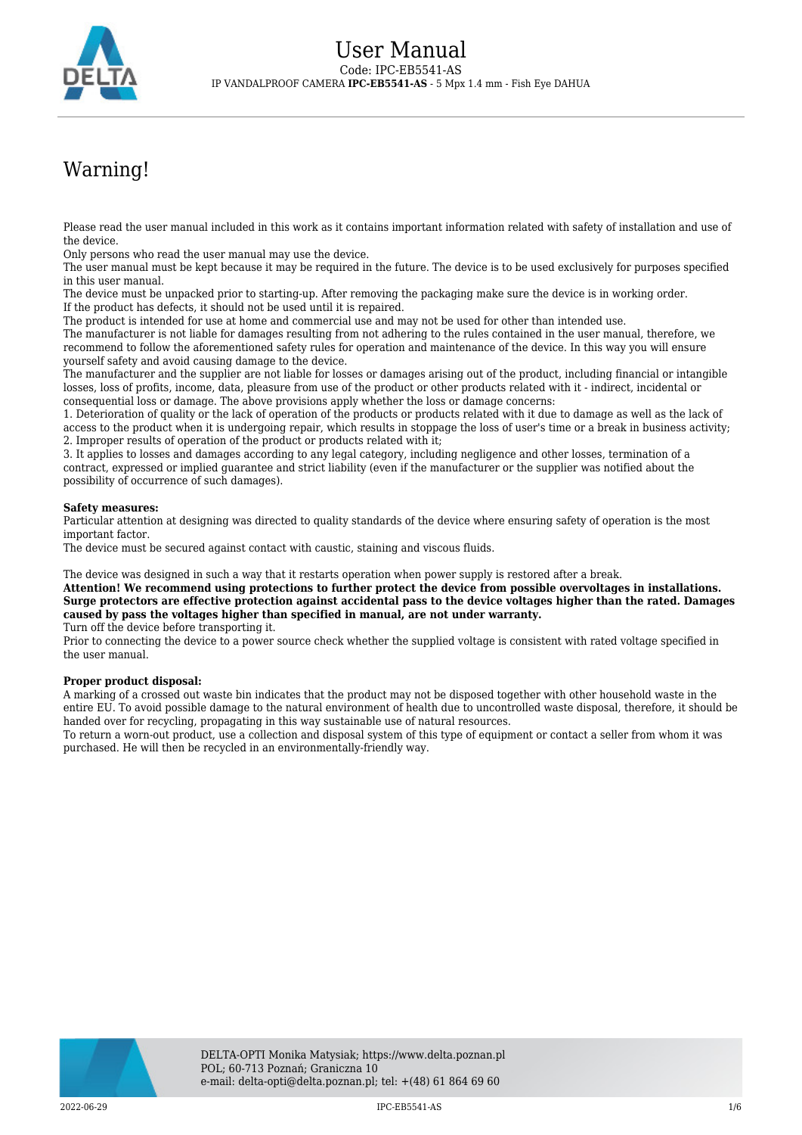

# Warning!

Please read the user manual included in this work as it contains important information related with safety of installation and use of the device.

Only persons who read the user manual may use the device.

The user manual must be kept because it may be required in the future. The device is to be used exclusively for purposes specified in this user manual.

The device must be unpacked prior to starting-up. After removing the packaging make sure the device is in working order. If the product has defects, it should not be used until it is repaired.

The product is intended for use at home and commercial use and may not be used for other than intended use.

The manufacturer is not liable for damages resulting from not adhering to the rules contained in the user manual, therefore, we recommend to follow the aforementioned safety rules for operation and maintenance of the device. In this way you will ensure yourself safety and avoid causing damage to the device.

The manufacturer and the supplier are not liable for losses or damages arising out of the product, including financial or intangible losses, loss of profits, income, data, pleasure from use of the product or other products related with it - indirect, incidental or consequential loss or damage. The above provisions apply whether the loss or damage concerns:

1. Deterioration of quality or the lack of operation of the products or products related with it due to damage as well as the lack of access to the product when it is undergoing repair, which results in stoppage the loss of user's time or a break in business activity; 2. Improper results of operation of the product or products related with it;

3. It applies to losses and damages according to any legal category, including negligence and other losses, termination of a contract, expressed or implied guarantee and strict liability (even if the manufacturer or the supplier was notified about the possibility of occurrence of such damages).

#### **Safety measures:**

Particular attention at designing was directed to quality standards of the device where ensuring safety of operation is the most important factor.

The device must be secured against contact with caustic, staining and viscous fluids.

The device was designed in such a way that it restarts operation when power supply is restored after a break.

**Attention! We recommend using protections to further protect the device from possible overvoltages in installations. Surge protectors are effective protection against accidental pass to the device voltages higher than the rated. Damages caused by pass the voltages higher than specified in manual, are not under warranty.**

Turn off the device before transporting it.

Prior to connecting the device to a power source check whether the supplied voltage is consistent with rated voltage specified in the user manual.

#### **Proper product disposal:**

A marking of a crossed out waste bin indicates that the product may not be disposed together with other household waste in the entire EU. To avoid possible damage to the natural environment of health due to uncontrolled waste disposal, therefore, it should be handed over for recycling, propagating in this way sustainable use of natural resources.

To return a worn-out product, use a collection and disposal system of this type of equipment or contact a seller from whom it was purchased. He will then be recycled in an environmentally-friendly way.

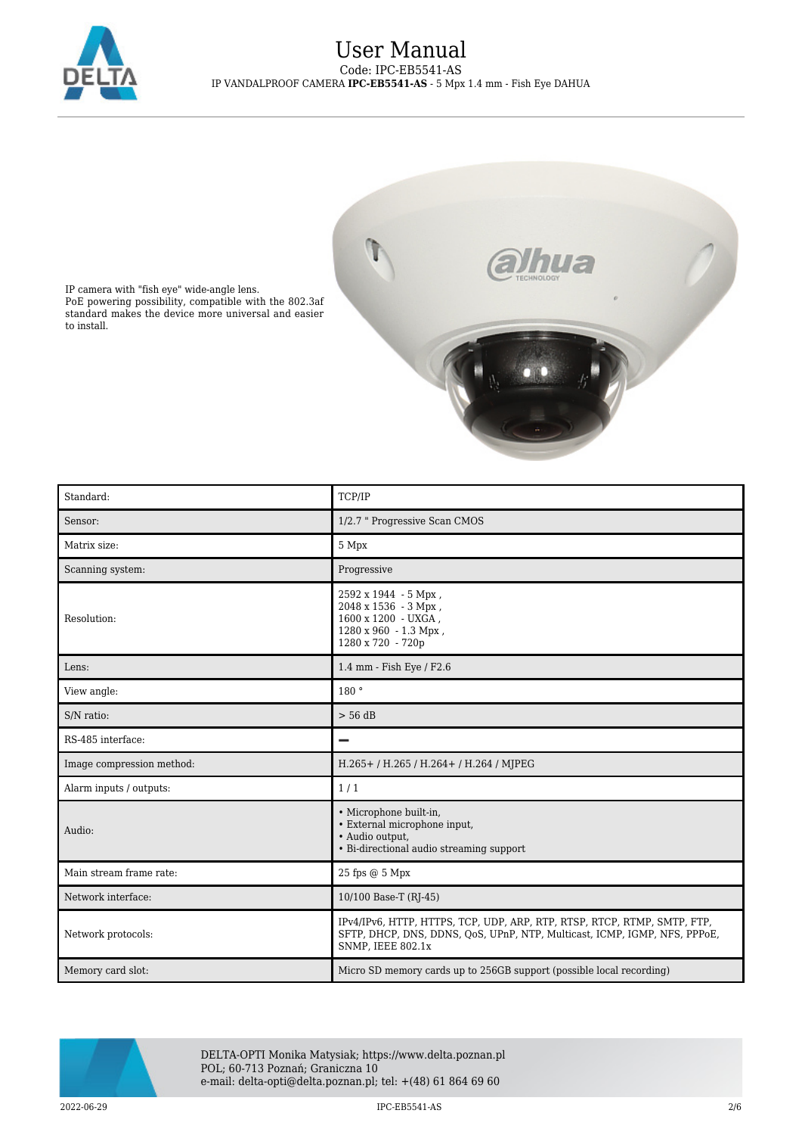



IP camera with "fish eye" wide-angle lens. PoE powering possibility, compatible with the 802.3af standard makes the device more universal and easier to install.

| Standard:                 | TCP/IP                                                                                                                                                                            |
|---------------------------|-----------------------------------------------------------------------------------------------------------------------------------------------------------------------------------|
| Sensor:                   | 1/2.7 " Progressive Scan CMOS                                                                                                                                                     |
| Matrix size:              | 5 Mpx                                                                                                                                                                             |
| Scanning system:          | Progressive                                                                                                                                                                       |
| Resolution:               | 2592 x 1944 - 5 Mpx,<br>2048 х 1536 - 3 Мрх,<br>1600 x 1200 - UXGA,<br>$1280 \times 960 - 1.3$ Mpx,<br>1280 x 720 - 720p                                                          |
| Lens:                     | 1.4 mm - Fish Eye / F2.6                                                                                                                                                          |
| View angle:               | 180 °                                                                                                                                                                             |
| S/N ratio:                | $> 56$ dB                                                                                                                                                                         |
| RS-485 interface:         | $\overline{\phantom{0}}$                                                                                                                                                          |
| Image compression method: | H.265+/H.265/H.264+/H.264/MJPEG                                                                                                                                                   |
| Alarm inputs / outputs:   | 1/1                                                                                                                                                                               |
| Audio:                    | · Microphone built-in,<br>• External microphone input,<br>· Audio output,<br>• Bi-directional audio streaming support                                                             |
| Main stream frame rate:   | 25 fps @ 5 Mpx                                                                                                                                                                    |
| Network interface:        | 10/100 Base-T (RJ-45)                                                                                                                                                             |
| Network protocols:        | IPv4/IPv6, HTTP, HTTPS, TCP, UDP, ARP, RTP, RTSP, RTCP, RTMP, SMTP, FTP,<br>SFTP, DHCP, DNS, DDNS, QoS, UPnP, NTP, Multicast, ICMP, IGMP, NFS, PPPoE,<br><b>SNMP, IEEE 802.1x</b> |
| Memory card slot:         | Micro SD memory cards up to 256GB support (possible local recording)                                                                                                              |



DELTA-OPTI Monika Matysiak; https://www.delta.poznan.pl POL; 60-713 Poznań; Graniczna 10 e-mail: delta-opti@delta.poznan.pl; tel: +(48) 61 864 69 60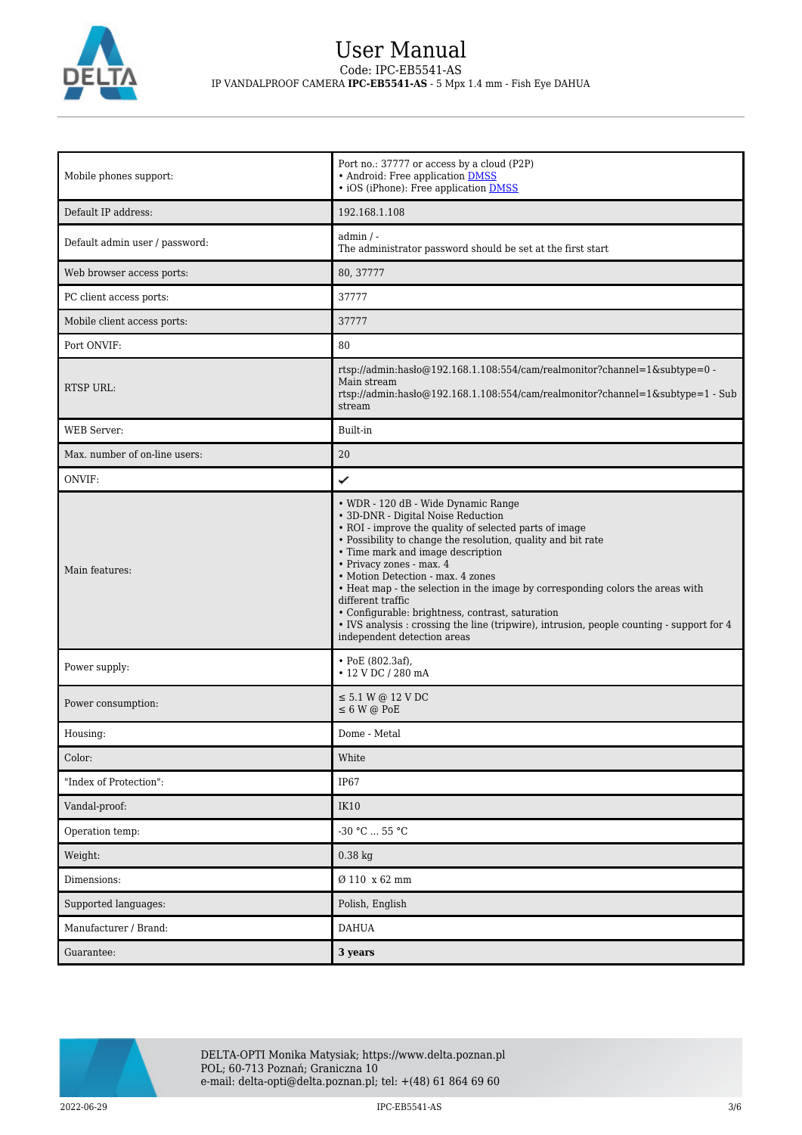

## User Manual Code: IPC-EB5541-AS IP VANDALPROOF CAMERA **IPC-EB5541-AS** - 5 Mpx 1.4 mm - Fish Eye DAHUA

| Mobile phones support:         | Port no.: 37777 or access by a cloud (P2P)<br>• Android: Free application DMSS<br>• iOS (iPhone): Free application <b>DMSS</b>                                                                                                                                                                                                                                                                                                                                                                                                                                                                   |
|--------------------------------|--------------------------------------------------------------------------------------------------------------------------------------------------------------------------------------------------------------------------------------------------------------------------------------------------------------------------------------------------------------------------------------------------------------------------------------------------------------------------------------------------------------------------------------------------------------------------------------------------|
| Default IP address:            | 192.168.1.108                                                                                                                                                                                                                                                                                                                                                                                                                                                                                                                                                                                    |
| Default admin user / password: | $admin / -$<br>The administrator password should be set at the first start                                                                                                                                                                                                                                                                                                                                                                                                                                                                                                                       |
| Web browser access ports:      | 80, 37777                                                                                                                                                                                                                                                                                                                                                                                                                                                                                                                                                                                        |
| PC client access ports:        | 37777                                                                                                                                                                                                                                                                                                                                                                                                                                                                                                                                                                                            |
| Mobile client access ports:    | 37777                                                                                                                                                                                                                                                                                                                                                                                                                                                                                                                                                                                            |
| Port ONVIF:                    | 80                                                                                                                                                                                                                                                                                                                                                                                                                                                                                                                                                                                               |
| <b>RTSP URL:</b>               | rtsp://admin:hasło@192.168.1.108:554/cam/realmonitor?channel=1&subtype=0 -<br>Main stream<br>rtsp://admin:haslo@192.168.1.108:554/cam/realmonitor?channel=1&subtype=1 - Sub<br>stream                                                                                                                                                                                                                                                                                                                                                                                                            |
| <b>WEB</b> Server:             | Built-in                                                                                                                                                                                                                                                                                                                                                                                                                                                                                                                                                                                         |
| Max. number of on-line users:  | 20                                                                                                                                                                                                                                                                                                                                                                                                                                                                                                                                                                                               |
| ONVIF:                         | ✓                                                                                                                                                                                                                                                                                                                                                                                                                                                                                                                                                                                                |
| Main features:                 | • WDR - 120 dB - Wide Dynamic Range<br>· 3D-DNR - Digital Noise Reduction<br>• ROI - improve the quality of selected parts of image<br>• Possibility to change the resolution, quality and bit rate<br>• Time mark and image description<br>· Privacy zones - max. 4<br>• Motion Detection - max. 4 zones<br>• Heat map - the selection in the image by corresponding colors the areas with<br>different traffic<br>• Configurable: brightness, contrast, saturation<br>• IVS analysis : crossing the line (tripwire), intrusion, people counting - support for 4<br>independent detection areas |
| Power supply:                  | $\cdot$ PoE (802.3af),<br>$\cdot$ 12 V DC / 280 mA                                                                                                                                                                                                                                                                                                                                                                                                                                                                                                                                               |
| Power consumption:             | $\leq$ 5.1 W @ 12 V DC<br>$\leq 6$ W @ PoE                                                                                                                                                                                                                                                                                                                                                                                                                                                                                                                                                       |
| Housing:                       | Dome - Metal                                                                                                                                                                                                                                                                                                                                                                                                                                                                                                                                                                                     |
| Color:                         | White                                                                                                                                                                                                                                                                                                                                                                                                                                                                                                                                                                                            |
| "Index of Protection":         | <b>IP67</b>                                                                                                                                                                                                                                                                                                                                                                                                                                                                                                                                                                                      |
| Vandal-proof:                  | IK10                                                                                                                                                                                                                                                                                                                                                                                                                                                                                                                                                                                             |
| Operation temp:                | -30 °C  55 °C                                                                                                                                                                                                                                                                                                                                                                                                                                                                                                                                                                                    |
| Weight:                        | $0.38$ kg                                                                                                                                                                                                                                                                                                                                                                                                                                                                                                                                                                                        |
| Dimensions:                    | Ø 110 x 62 mm                                                                                                                                                                                                                                                                                                                                                                                                                                                                                                                                                                                    |
| Supported languages:           | Polish, English                                                                                                                                                                                                                                                                                                                                                                                                                                                                                                                                                                                  |
| Manufacturer / Brand:          | <b>DAHUA</b>                                                                                                                                                                                                                                                                                                                                                                                                                                                                                                                                                                                     |
| Guarantee:                     | 3 years                                                                                                                                                                                                                                                                                                                                                                                                                                                                                                                                                                                          |

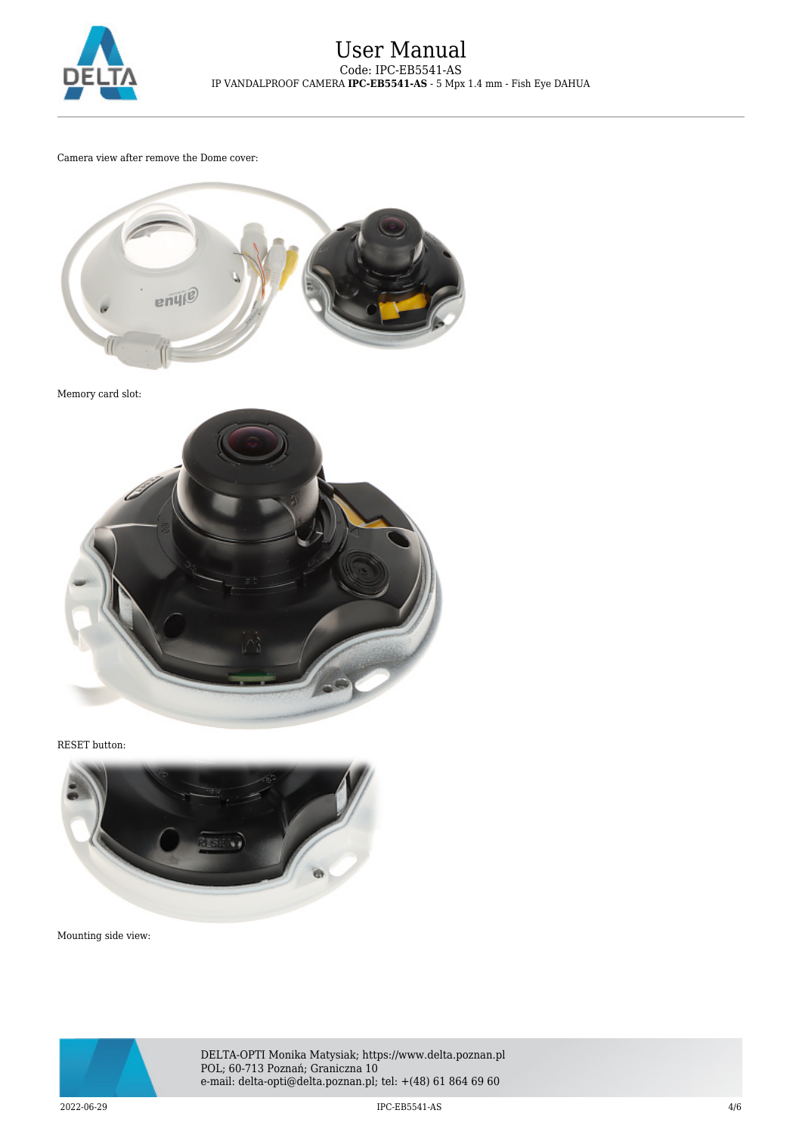

Camera view after remove the Dome cover:



Memory card slot:



RESET button:



Mounting side view:



DELTA-OPTI Monika Matysiak; https://www.delta.poznan.pl POL; 60-713 Poznań; Graniczna 10 e-mail: delta-opti@delta.poznan.pl; tel: +(48) 61 864 69 60

2022-06-29 IPC-EB5541-AS 4/6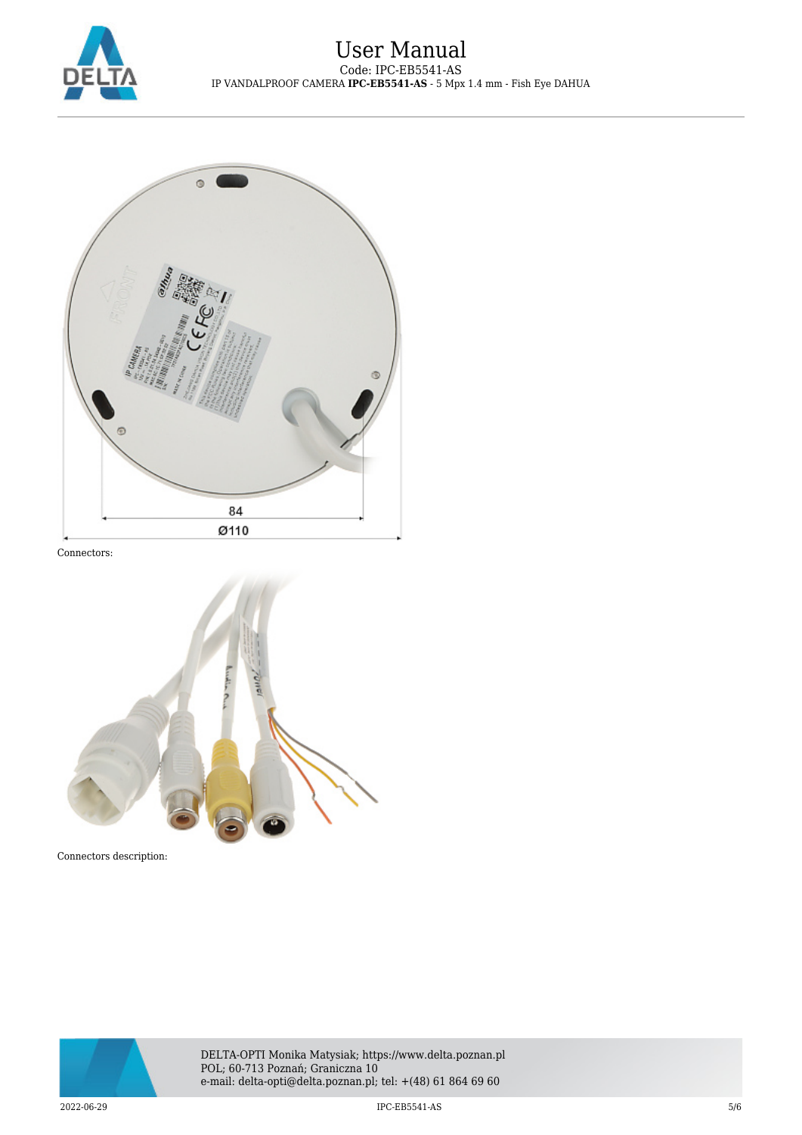



Connectors:



Connectors description: